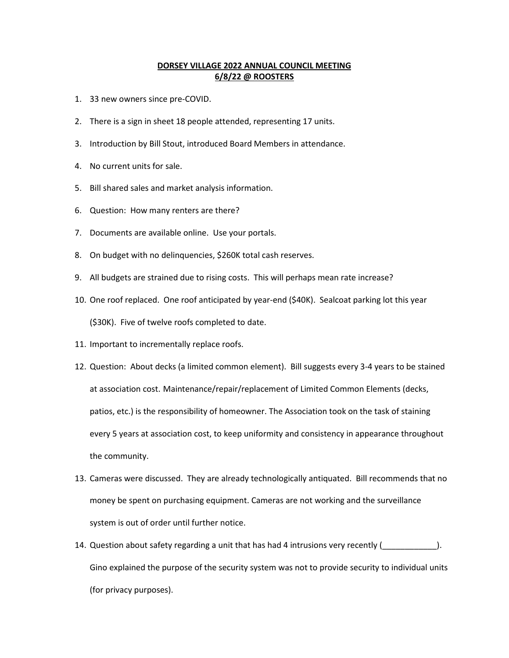## **DORSEY VILLAGE 2022 ANNUAL COUNCIL MEETING 6/8/22 @ ROOSTERS**

- 1. 33 new owners since pre-COVID.
- 2. There is a sign in sheet 18 people attended, representing 17 units.
- 3. Introduction by Bill Stout, introduced Board Members in attendance.
- 4. No current units for sale.
- 5. Bill shared sales and market analysis information.
- 6. Question: How many renters are there?
- 7. Documents are available online. Use your portals.
- 8. On budget with no delinquencies, \$260K total cash reserves.
- 9. All budgets are strained due to rising costs. This will perhaps mean rate increase?
- 10. One roof replaced. One roof anticipated by year-end (\$40K). Sealcoat parking lot this year (\$30K). Five of twelve roofs completed to date.
- 11. Important to incrementally replace roofs.
- 12. Question: About decks (a limited common element). Bill suggests every 3-4 years to be stained at association cost. Maintenance/repair/replacement of Limited Common Elements (decks, patios, etc.) is the responsibility of homeowner. The Association took on the task of staining every 5 years at association cost, to keep uniformity and consistency in appearance throughout the community.
- 13. Cameras were discussed. They are already technologically antiquated. Bill recommends that no money be spent on purchasing equipment. Cameras are not working and the surveillance system is out of order until further notice.
- 14. Question about safety regarding a unit that has had 4 intrusions very recently (10000000000000000000000000 Gino explained the purpose of the security system was not to provide security to individual units (for privacy purposes).